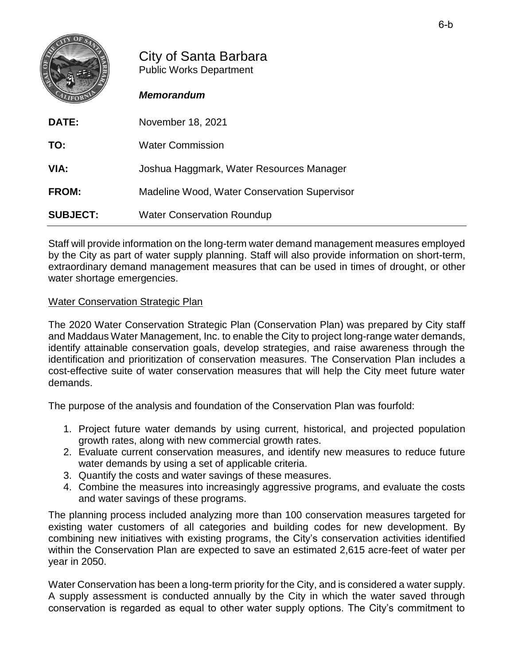|       | City of Santa Barbara<br><b>Public Works Department</b><br><b>Memorandum</b> |
|-------|------------------------------------------------------------------------------|
| DATE: | November 18, 2021                                                            |
| TO:   | <b>Water Commission</b>                                                      |
| VIA:  | Joshua Haggmark, Water Resources Manager                                     |

**FROM:** Madeline Wood, Water Conservation Supervisor

**SUBJECT:** Water Conservation Roundup

Staff will provide information on the long-term water demand management measures employed by the City as part of water supply planning. Staff will also provide information on short-term, extraordinary demand management measures that can be used in times of drought, or other water shortage emergencies.

## Water Conservation Strategic Plan

The 2020 Water Conservation Strategic Plan (Conservation Plan) was prepared by City staff and Maddaus Water Management, Inc. to enable the City to project long-range water demands, identify attainable conservation goals, develop strategies, and raise awareness through the identification and prioritization of conservation measures. The Conservation Plan includes a cost-effective suite of water conservation measures that will help the City meet future water demands.

The purpose of the analysis and foundation of the Conservation Plan was fourfold:

- 1. Project future water demands by using current, historical, and projected population growth rates, along with new commercial growth rates.
- 2. Evaluate current conservation measures, and identify new measures to reduce future water demands by using a set of applicable criteria.
- 3. Quantify the costs and water savings of these measures.
- 4. Combine the measures into increasingly aggressive programs, and evaluate the costs and water savings of these programs.

The planning process included analyzing more than 100 conservation measures targeted for existing water customers of all categories and building codes for new development. By combining new initiatives with existing programs, the City's conservation activities identified within the Conservation Plan are expected to save an estimated 2,615 acre-feet of water per year in 2050.

Water Conservation has been a long-term priority for the City, and is considered a water supply. A supply assessment is conducted annually by the City in which the water saved through conservation is regarded as equal to other water supply options. The City's commitment to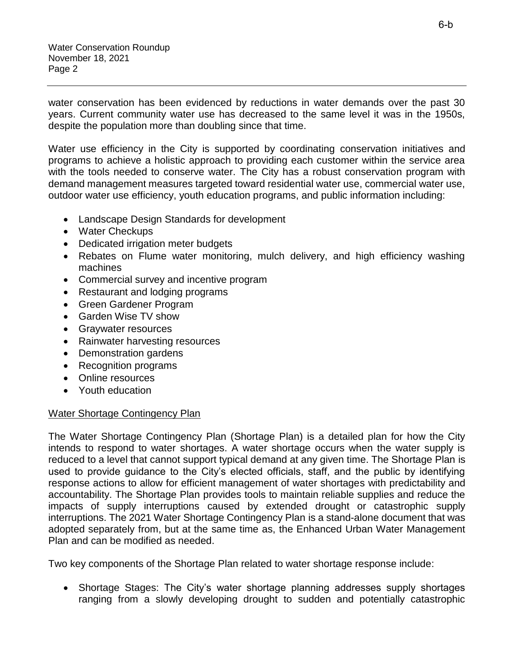water conservation has been evidenced by reductions in water demands over the past 30 years. Current community water use has decreased to the same level it was in the 1950s, despite the population more than doubling since that time.

Water use efficiency in the City is supported by coordinating conservation initiatives and programs to achieve a holistic approach to providing each customer within the service area with the tools needed to conserve water. The City has a robust conservation program with demand management measures targeted toward residential water use, commercial water use, outdoor water use efficiency, youth education programs, and public information including:

- Landscape Design Standards for development
- Water Checkups
- Dedicated irrigation meter budgets
- Rebates on Flume water monitoring, mulch delivery, and high efficiency washing machines
- Commercial survey and incentive program
- Restaurant and lodging programs
- Green Gardener Program
- Garden Wise TV show
- Graywater resources
- Rainwater harvesting resources
- Demonstration gardens
- Recognition programs
- Online resources
- Youth education

## Water Shortage Contingency Plan

The Water Shortage Contingency Plan (Shortage Plan) is a detailed plan for how the City intends to respond to water shortages. A water shortage occurs when the water supply is reduced to a level that cannot support typical demand at any given time. The Shortage Plan is used to provide guidance to the City's elected officials, staff, and the public by identifying response actions to allow for efficient management of water shortages with predictability and accountability. The Shortage Plan provides tools to maintain reliable supplies and reduce the impacts of supply interruptions caused by extended drought or catastrophic supply interruptions. The 2021 Water Shortage Contingency Plan is a stand-alone document that was adopted separately from, but at the same time as, the Enhanced Urban Water Management Plan and can be modified as needed.

Two key components of the Shortage Plan related to water shortage response include:

• Shortage Stages: The City's water shortage planning addresses supply shortages ranging from a slowly developing drought to sudden and potentially catastrophic